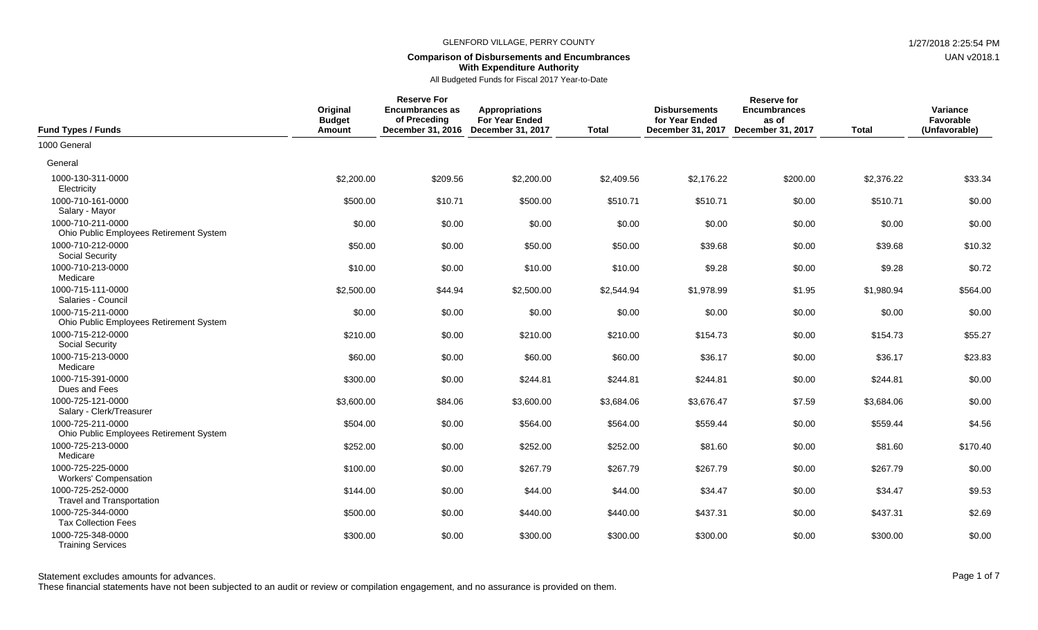## **Comparison of Disbursements and Encumbrances With Expenditure Authority**

All Budgeted Funds for Fiscal 2017 Year-to-Date

| <b>Fund Types / Funds</b>                                    | Original<br><b>Budget</b><br>Amount | <b>Reserve For</b><br><b>Encumbrances as</b><br>of Preceding<br>December 31, 2016 December 31, 2017 | <b>Appropriations</b><br>For Year Ended | <b>Total</b> | <b>Disbursements</b><br>for Year Ended<br>December 31, 2017 | <b>Reserve for</b><br><b>Encumbrances</b><br>as of<br>December 31, 2017 | <b>Total</b> | Variance<br>Favorable<br>(Unfavorable) |
|--------------------------------------------------------------|-------------------------------------|-----------------------------------------------------------------------------------------------------|-----------------------------------------|--------------|-------------------------------------------------------------|-------------------------------------------------------------------------|--------------|----------------------------------------|
| 1000 General                                                 |                                     |                                                                                                     |                                         |              |                                                             |                                                                         |              |                                        |
| General                                                      |                                     |                                                                                                     |                                         |              |                                                             |                                                                         |              |                                        |
| 1000-130-311-0000<br>Electricity                             | \$2,200.00                          | \$209.56                                                                                            | \$2,200.00                              | \$2,409.56   | \$2,176.22                                                  | \$200.00                                                                | \$2,376.22   | \$33.34                                |
| 1000-710-161-0000<br>Salary - Mayor                          | \$500.00                            | \$10.71                                                                                             | \$500.00                                | \$510.71     | \$510.71                                                    | \$0.00                                                                  | \$510.71     | \$0.00                                 |
| 1000-710-211-0000<br>Ohio Public Employees Retirement System | \$0.00                              | \$0.00                                                                                              | \$0.00                                  | \$0.00       | \$0.00                                                      | \$0.00                                                                  | \$0.00       | \$0.00                                 |
| 1000-710-212-0000<br><b>Social Security</b>                  | \$50.00                             | \$0.00                                                                                              | \$50.00                                 | \$50.00      | \$39.68                                                     | \$0.00                                                                  | \$39.68      | \$10.32                                |
| 1000-710-213-0000<br>Medicare                                | \$10.00                             | \$0.00                                                                                              | \$10.00                                 | \$10.00      | \$9.28                                                      | \$0.00                                                                  | \$9.28       | \$0.72                                 |
| 1000-715-111-0000<br>Salaries - Council                      | \$2,500.00                          | \$44.94                                                                                             | \$2,500.00                              | \$2,544.94   | \$1,978.99                                                  | \$1.95                                                                  | \$1,980.94   | \$564.00                               |
| 1000-715-211-0000<br>Ohio Public Employees Retirement System | \$0.00                              | \$0.00                                                                                              | \$0.00                                  | \$0.00       | \$0.00                                                      | \$0.00                                                                  | \$0.00       | \$0.00                                 |
| 1000-715-212-0000<br><b>Social Security</b>                  | \$210.00                            | \$0.00                                                                                              | \$210.00                                | \$210.00     | \$154.73                                                    | \$0.00                                                                  | \$154.73     | \$55.27                                |
| 1000-715-213-0000<br>Medicare                                | \$60.00                             | \$0.00                                                                                              | \$60.00                                 | \$60.00      | \$36.17                                                     | \$0.00                                                                  | \$36.17      | \$23.83                                |
| 1000-715-391-0000<br>Dues and Fees                           | \$300.00                            | \$0.00                                                                                              | \$244.81                                | \$244.81     | \$244.81                                                    | \$0.00                                                                  | \$244.81     | \$0.00                                 |
| 1000-725-121-0000<br>Salary - Clerk/Treasurer                | \$3,600.00                          | \$84.06                                                                                             | \$3,600.00                              | \$3,684.06   | \$3,676.47                                                  | \$7.59                                                                  | \$3,684.06   | \$0.00                                 |
| 1000-725-211-0000<br>Ohio Public Employees Retirement System | \$504.00                            | \$0.00                                                                                              | \$564.00                                | \$564.00     | \$559.44                                                    | \$0.00                                                                  | \$559.44     | \$4.56                                 |
| 1000-725-213-0000<br>Medicare                                | \$252.00                            | \$0.00                                                                                              | \$252.00                                | \$252.00     | \$81.60                                                     | \$0.00                                                                  | \$81.60      | \$170.40                               |
| 1000-725-225-0000<br><b>Workers' Compensation</b>            | \$100.00                            | \$0.00                                                                                              | \$267.79                                | \$267.79     | \$267.79                                                    | \$0.00                                                                  | \$267.79     | \$0.00                                 |
| 1000-725-252-0000<br><b>Travel and Transportation</b>        | \$144.00                            | \$0.00                                                                                              | \$44.00                                 | \$44.00      | \$34.47                                                     | \$0.00                                                                  | \$34.47      | \$9.53                                 |
| 1000-725-344-0000<br><b>Tax Collection Fees</b>              | \$500.00                            | \$0.00                                                                                              | \$440.00                                | \$440.00     | \$437.31                                                    | \$0.00                                                                  | \$437.31     | \$2.69                                 |
| 1000-725-348-0000<br><b>Training Services</b>                | \$300.00                            | \$0.00                                                                                              | \$300.00                                | \$300.00     | \$300.00                                                    | \$0.00                                                                  | \$300.00     | \$0.00                                 |

These financial statements have not been subjected to an audit or review or compilation engagement, and no assurance is provided on them.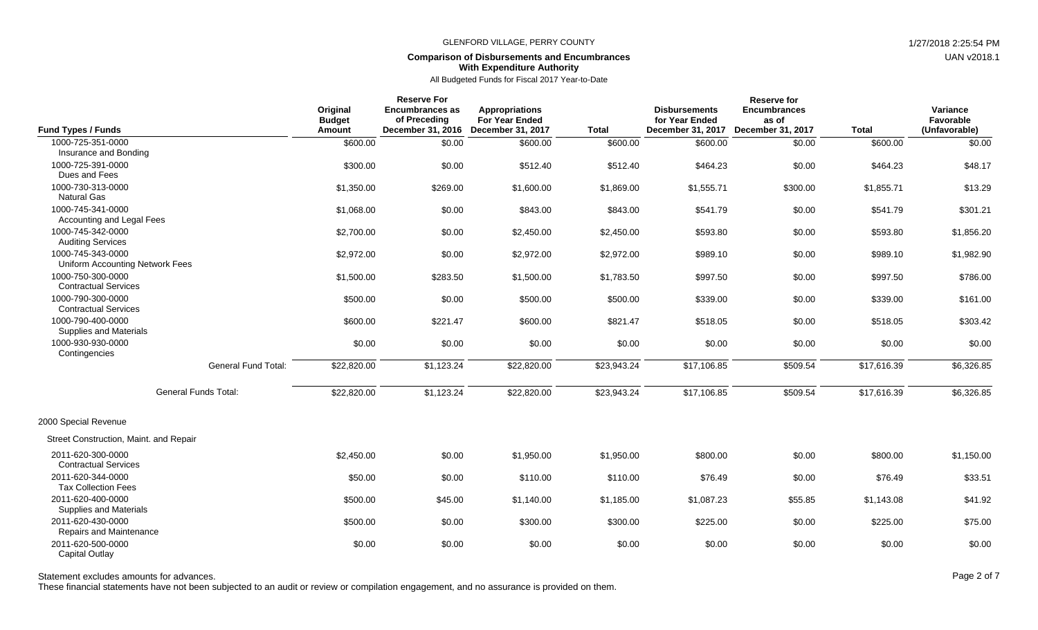# **Comparison of Disbursements and Encumbrances With Expenditure Authority**

All Budgeted Funds for Fiscal 2017 Year-to-Date

| <b>Fund Types / Funds</b>                                   |                            | Original<br><b>Budget</b><br>Amount | <b>Reserve For</b><br><b>Encumbrances as</b><br>of Preceding | <b>Appropriations</b><br><b>For Year Ended</b><br>December 31, 2016 December 31, 2017 | <b>Total</b> | <b>Disbursements</b><br>for Year Ended<br>December 31, 2017 | <b>Reserve for</b><br><b>Encumbrances</b><br>as of<br><b>December 31, 2017</b> | <b>Total</b> | Variance<br>Favorable<br>(Unfavorable) |
|-------------------------------------------------------------|----------------------------|-------------------------------------|--------------------------------------------------------------|---------------------------------------------------------------------------------------|--------------|-------------------------------------------------------------|--------------------------------------------------------------------------------|--------------|----------------------------------------|
| 1000-725-351-0000                                           |                            | \$600.00                            | \$0.00                                                       | \$600.00                                                                              | \$600.00     | \$600.00                                                    | \$0.00                                                                         | \$600.00     | \$0.00                                 |
| Insurance and Bonding<br>1000-725-391-0000<br>Dues and Fees |                            | \$300.00                            | \$0.00                                                       | \$512.40                                                                              | \$512.40     | \$464.23                                                    | \$0.00                                                                         | \$464.23     | \$48.17                                |
| 1000-730-313-0000<br><b>Natural Gas</b>                     |                            | \$1,350.00                          | \$269.00                                                     | \$1,600.00                                                                            | \$1,869.00   | \$1,555.71                                                  | \$300.00                                                                       | \$1,855.71   | \$13.29                                |
| 1000-745-341-0000<br>Accounting and Legal Fees              |                            | \$1,068.00                          | \$0.00                                                       | \$843.00                                                                              | \$843.00     | \$541.79                                                    | \$0.00                                                                         | \$541.79     | \$301.21                               |
| 1000-745-342-0000<br><b>Auditing Services</b>               |                            | \$2,700.00                          | \$0.00                                                       | \$2,450.00                                                                            | \$2,450.00   | \$593.80                                                    | \$0.00                                                                         | \$593.80     | \$1,856.20                             |
| 1000-745-343-0000<br>Uniform Accounting Network Fees        |                            | \$2,972.00                          | \$0.00                                                       | \$2,972.00                                                                            | \$2,972.00   | \$989.10                                                    | \$0.00                                                                         | \$989.10     | \$1,982.90                             |
| 1000-750-300-0000<br><b>Contractual Services</b>            |                            | \$1,500.00                          | \$283.50                                                     | \$1,500.00                                                                            | \$1,783.50   | \$997.50                                                    | \$0.00                                                                         | \$997.50     | \$786.00                               |
| 1000-790-300-0000<br><b>Contractual Services</b>            |                            | \$500.00                            | \$0.00                                                       | \$500.00                                                                              | \$500.00     | \$339.00                                                    | \$0.00                                                                         | \$339.00     | \$161.00                               |
| 1000-790-400-0000<br>Supplies and Materials                 |                            | \$600.00                            | \$221.47                                                     | \$600.00                                                                              | \$821.47     | \$518.05                                                    | \$0.00                                                                         | \$518.05     | \$303.42                               |
| 1000-930-930-0000<br>Contingencies                          |                            | \$0.00                              | \$0.00                                                       | \$0.00                                                                                | \$0.00       | \$0.00                                                      | \$0.00                                                                         | \$0.00       | \$0.00                                 |
|                                                             | <b>General Fund Total:</b> | \$22,820.00                         | \$1,123.24                                                   | \$22,820.00                                                                           | \$23,943.24  | \$17,106.85                                                 | \$509.54                                                                       | \$17,616.39  | \$6,326.85                             |
|                                                             | General Funds Total:       | \$22,820.00                         | \$1,123.24                                                   | \$22,820.00                                                                           | \$23,943.24  | \$17,106.85                                                 | \$509.54                                                                       | \$17,616.39  | \$6,326.85                             |
| 2000 Special Revenue                                        |                            |                                     |                                                              |                                                                                       |              |                                                             |                                                                                |              |                                        |
| Street Construction, Maint. and Repair                      |                            |                                     |                                                              |                                                                                       |              |                                                             |                                                                                |              |                                        |
| 2011-620-300-0000<br><b>Contractual Services</b>            |                            | \$2,450.00                          | \$0.00                                                       | \$1,950.00                                                                            | \$1,950.00   | \$800.00                                                    | \$0.00                                                                         | \$800.00     | \$1,150.00                             |
| 2011-620-344-0000<br><b>Tax Collection Fees</b>             |                            | \$50.00                             | \$0.00                                                       | \$110.00                                                                              | \$110.00     | \$76.49                                                     | \$0.00                                                                         | \$76.49      | \$33.51                                |
| 2011-620-400-0000<br><b>Supplies and Materials</b>          |                            | \$500.00                            | \$45.00                                                      | \$1,140.00                                                                            | \$1,185.00   | \$1,087.23                                                  | \$55.85                                                                        | \$1,143.08   | \$41.92                                |
| 2011-620-430-0000<br>Repairs and Maintenance                |                            | \$500.00                            | \$0.00                                                       | \$300.00                                                                              | \$300.00     | \$225.00                                                    | \$0.00                                                                         | \$225.00     | \$75.00                                |
| 2011-620-500-0000<br><b>Capital Outlay</b>                  |                            | \$0.00                              | \$0.00                                                       | \$0.00                                                                                | \$0.00       | \$0.00                                                      | \$0.00                                                                         | \$0.00       | \$0.00                                 |

Statement excludes amounts for advances. The experience of 7 and 2 of 7 and 2 of 7 and 2 of 7

These financial statements have not been subjected to an audit or review or compilation engagement, and no assurance is provided on them.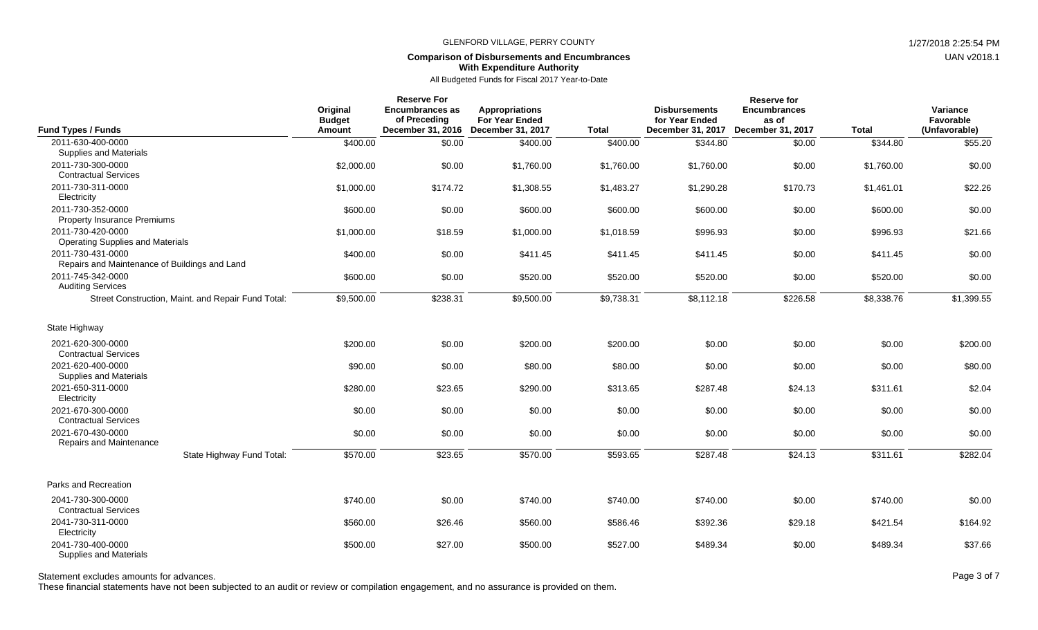### **Comparison of Disbursements and Encumbrances With Expenditure Authority**

All Budgeted Funds for Fiscal 2017 Year-to-Date

| <b>Fund Types / Funds</b>                                                  | Original<br><b>Budget</b><br>Amount | <b>Reserve For</b><br><b>Encumbrances as</b><br>of Preceding<br>December 31, 2016 | <b>Appropriations</b><br><b>For Year Ended</b><br>December 31, 2017 | <b>Total</b> | <b>Disbursements</b><br>for Year Ended<br>December 31, 2017 | <b>Reserve for</b><br><b>Encumbrances</b><br>as of<br>December 31, 2017 | <b>Total</b> | Variance<br>Favorable<br>(Unfavorable) |
|----------------------------------------------------------------------------|-------------------------------------|-----------------------------------------------------------------------------------|---------------------------------------------------------------------|--------------|-------------------------------------------------------------|-------------------------------------------------------------------------|--------------|----------------------------------------|
| 2011-630-400-0000                                                          | \$400.00                            | \$0.00                                                                            | \$400.00                                                            | \$400.00     | \$344.80                                                    | \$0.00                                                                  | \$344.80     | \$55.20                                |
| Supplies and Materials<br>2011-730-300-0000<br><b>Contractual Services</b> | \$2,000.00                          | \$0.00                                                                            | \$1,760.00                                                          | \$1,760.00   | \$1.760.00                                                  | \$0.00                                                                  | \$1,760.00   | \$0.00                                 |
| 2011-730-311-0000<br>Electricity                                           | \$1,000.00                          | \$174.72                                                                          | \$1,308.55                                                          | \$1,483.27   | \$1,290.28                                                  | \$170.73                                                                | \$1,461.01   | \$22.26                                |
| 2011-730-352-0000<br><b>Property Insurance Premiums</b>                    | \$600.00                            | \$0.00                                                                            | \$600.00                                                            | \$600.00     | \$600.00                                                    | \$0.00                                                                  | \$600.00     | \$0.00                                 |
| 2011-730-420-0000<br><b>Operating Supplies and Materials</b>               | \$1,000.00                          | \$18.59                                                                           | \$1,000.00                                                          | \$1,018.59   | \$996.93                                                    | \$0.00                                                                  | \$996.93     | \$21.66                                |
| 2011-730-431-0000<br>Repairs and Maintenance of Buildings and Land         | \$400.00                            | \$0.00                                                                            | \$411.45                                                            | \$411.45     | \$411.45                                                    | \$0.00                                                                  | \$411.45     | \$0.00                                 |
| 2011-745-342-0000<br><b>Auditing Services</b>                              | \$600.00                            | \$0.00                                                                            | \$520.00                                                            | \$520.00     | \$520.00                                                    | \$0.00                                                                  | \$520.00     | \$0.00                                 |
| Street Construction, Maint. and Repair Fund Total:                         | \$9,500.00                          | \$238.31                                                                          | \$9,500.00                                                          | \$9,738.31   | \$8,112.18                                                  | \$226.58                                                                | \$8,338.76   | \$1,399.55                             |
| State Highway                                                              |                                     |                                                                                   |                                                                     |              |                                                             |                                                                         |              |                                        |
| 2021-620-300-0000<br><b>Contractual Services</b>                           | \$200.00                            | \$0.00                                                                            | \$200.00                                                            | \$200.00     | \$0.00                                                      | \$0.00                                                                  | \$0.00       | \$200.00                               |
| 2021-620-400-0000<br>Supplies and Materials                                | \$90.00                             | \$0.00                                                                            | \$80.00                                                             | \$80.00      | \$0.00                                                      | \$0.00                                                                  | \$0.00       | \$80.00                                |
| 2021-650-311-0000<br>Electricity                                           | \$280.00                            | \$23.65                                                                           | \$290.00                                                            | \$313.65     | \$287.48                                                    | \$24.13                                                                 | \$311.61     | \$2.04                                 |
| 2021-670-300-0000<br><b>Contractual Services</b>                           | \$0.00                              | \$0.00                                                                            | \$0.00                                                              | \$0.00       | \$0.00                                                      | \$0.00                                                                  | \$0.00       | \$0.00                                 |
| 2021-670-430-0000<br>Repairs and Maintenance                               | \$0.00                              | \$0.00                                                                            | \$0.00                                                              | \$0.00       | \$0.00                                                      | \$0.00                                                                  | \$0.00       | \$0.00                                 |
| State Highway Fund Total:                                                  | \$570.00                            | \$23.65                                                                           | \$570.00                                                            | \$593.65     | \$287.48                                                    | \$24.13                                                                 | \$311.61     | \$282.04                               |
| Parks and Recreation                                                       |                                     |                                                                                   |                                                                     |              |                                                             |                                                                         |              |                                        |
| 2041-730-300-0000<br><b>Contractual Services</b>                           | \$740.00                            | \$0.00                                                                            | \$740.00                                                            | \$740.00     | \$740.00                                                    | \$0.00                                                                  | \$740.00     | \$0.00                                 |
| 2041-730-311-0000<br>Electricity                                           | \$560.00                            | \$26.46                                                                           | \$560.00                                                            | \$586.46     | \$392.36                                                    | \$29.18                                                                 | \$421.54     | \$164.92                               |
| 2041-730-400-0000<br>Supplies and Materials                                | \$500.00                            | \$27.00                                                                           | \$500.00                                                            | \$527.00     | \$489.34                                                    | \$0.00                                                                  | \$489.34     | \$37.66                                |

Statement excludes amounts for advances. The state of 7 and 200 and 200 and 200 and 200 and 200 and 200 and 200 and 200 and 200 and 200 and 200 and 200 and 200 and 200 and 200 and 200 and 200 and 200 and 200 and 200 and 20

These financial statements have not been subjected to an audit or review or compilation engagement, and no assurance is provided on them.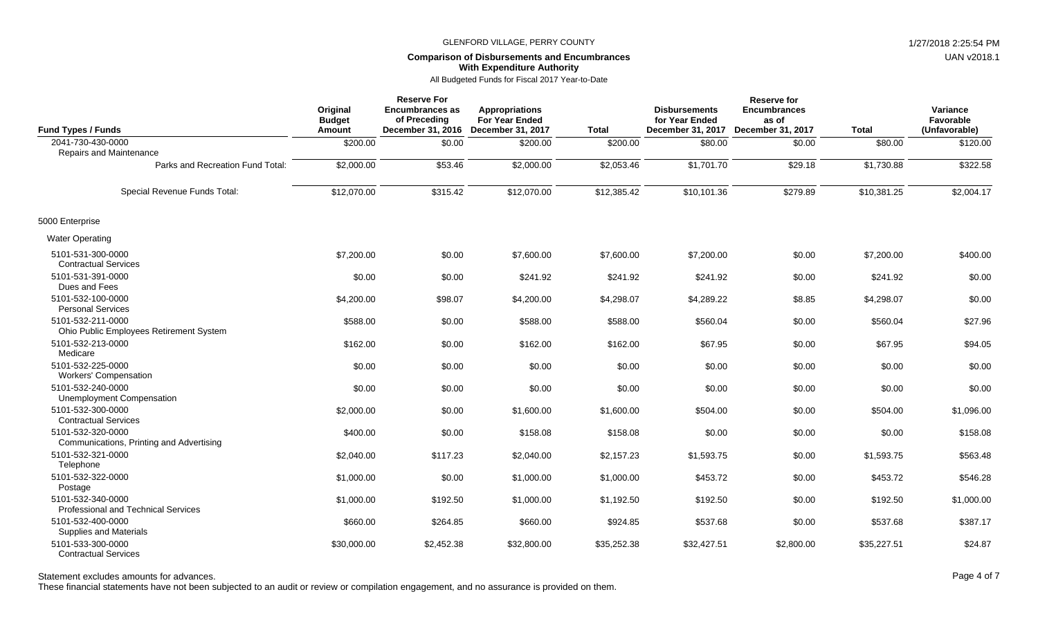### **Comparison of Disbursements and Encumbrances With Expenditure Authority**

All Budgeted Funds for Fiscal 2017 Year-to-Date

| <b>Fund Types / Funds</b>                                     | Original<br><b>Budget</b><br><b>Amount</b> | <b>Reserve For</b><br><b>Encumbrances as</b><br>of Preceding<br>December 31, 2016 | <b>Appropriations</b><br><b>For Year Ended</b><br><b>December 31, 2017</b> | <b>Total</b> | <b>Disbursements</b><br>for Year Ended<br>December 31, 2017 | Reserve for<br><b>Encumbrances</b><br>as of<br>December 31, 2017 | <b>Total</b> | Variance<br>Favorable<br>(Unfavorable) |
|---------------------------------------------------------------|--------------------------------------------|-----------------------------------------------------------------------------------|----------------------------------------------------------------------------|--------------|-------------------------------------------------------------|------------------------------------------------------------------|--------------|----------------------------------------|
| 2041-730-430-0000                                             | \$200.00                                   | \$0.00                                                                            | \$200.00                                                                   | \$200.00     | \$80.00                                                     | \$0.00                                                           | \$80.00      | \$120.00                               |
| Repairs and Maintenance                                       |                                            |                                                                                   |                                                                            |              |                                                             |                                                                  |              |                                        |
| Parks and Recreation Fund Total:                              | \$2,000.00                                 | \$53.46                                                                           | \$2,000.00                                                                 | \$2,053.46   | \$1,701.70                                                  | \$29.18                                                          | \$1,730.88   | \$322.58                               |
| Special Revenue Funds Total:                                  | \$12,070.00                                | \$315.42                                                                          | \$12,070.00                                                                | \$12,385.42  | \$10,101.36                                                 | \$279.89                                                         | \$10,381.25  | \$2,004.17                             |
| 5000 Enterprise                                               |                                            |                                                                                   |                                                                            |              |                                                             |                                                                  |              |                                        |
| <b>Water Operating</b>                                        |                                            |                                                                                   |                                                                            |              |                                                             |                                                                  |              |                                        |
| 5101-531-300-0000<br><b>Contractual Services</b>              | \$7,200.00                                 | \$0.00                                                                            | \$7,600.00                                                                 | \$7,600.00   | \$7,200.00                                                  | \$0.00                                                           | \$7,200.00   | \$400.00                               |
| 5101-531-391-0000<br>Dues and Fees                            | \$0.00                                     | \$0.00                                                                            | \$241.92                                                                   | \$241.92     | \$241.92                                                    | \$0.00                                                           | \$241.92     | \$0.00                                 |
| 5101-532-100-0000<br><b>Personal Services</b>                 | \$4,200.00                                 | \$98.07                                                                           | \$4,200.00                                                                 | \$4,298.07   | \$4,289.22                                                  | \$8.85                                                           | \$4,298.07   | \$0.00                                 |
| 5101-532-211-0000<br>Ohio Public Employees Retirement System  | \$588.00                                   | \$0.00                                                                            | \$588.00                                                                   | \$588.00     | \$560.04                                                    | \$0.00                                                           | \$560.04     | \$27.96                                |
| 5101-532-213-0000<br>Medicare                                 | \$162.00                                   | \$0.00                                                                            | \$162.00                                                                   | \$162.00     | \$67.95                                                     | \$0.00                                                           | \$67.95      | \$94.05                                |
| 5101-532-225-0000<br><b>Workers' Compensation</b>             | \$0.00                                     | \$0.00                                                                            | \$0.00                                                                     | \$0.00       | \$0.00                                                      | \$0.00                                                           | \$0.00       | \$0.00                                 |
| 5101-532-240-0000<br>Unemployment Compensation                | \$0.00                                     | \$0.00                                                                            | \$0.00                                                                     | \$0.00       | \$0.00                                                      | \$0.00                                                           | \$0.00       | \$0.00                                 |
| 5101-532-300-0000<br><b>Contractual Services</b>              | \$2,000.00                                 | \$0.00                                                                            | \$1,600.00                                                                 | \$1,600.00   | \$504.00                                                    | \$0.00                                                           | \$504.00     | \$1,096.00                             |
| 5101-532-320-0000<br>Communications, Printing and Advertising | \$400.00                                   | \$0.00                                                                            | \$158.08                                                                   | \$158.08     | \$0.00                                                      | \$0.00                                                           | \$0.00       | \$158.08                               |
| 5101-532-321-0000<br>Telephone                                | \$2,040.00                                 | \$117.23                                                                          | \$2,040.00                                                                 | \$2,157.23   | \$1,593.75                                                  | \$0.00                                                           | \$1,593.75   | \$563.48                               |
| 5101-532-322-0000<br>Postage                                  | \$1,000.00                                 | \$0.00                                                                            | \$1,000.00                                                                 | \$1,000.00   | \$453.72                                                    | \$0.00                                                           | \$453.72     | \$546.28                               |
| 5101-532-340-0000<br>Professional and Technical Services      | \$1,000.00                                 | \$192.50                                                                          | \$1,000.00                                                                 | \$1,192.50   | \$192.50                                                    | \$0.00                                                           | \$192.50     | \$1,000.00                             |
| 5101-532-400-0000<br><b>Supplies and Materials</b>            | \$660.00                                   | \$264.85                                                                          | \$660.00                                                                   | \$924.85     | \$537.68                                                    | \$0.00                                                           | \$537.68     | \$387.17                               |
| 5101-533-300-0000<br><b>Contractual Services</b>              | \$30,000.00                                | \$2,452.38                                                                        | \$32,800.00                                                                | \$35,252.38  | \$32,427.51                                                 | \$2,800.00                                                       | \$35,227.51  | \$24.87                                |

These financial statements have not been subjected to an audit or review or compilation engagement, and no assurance is provided on them.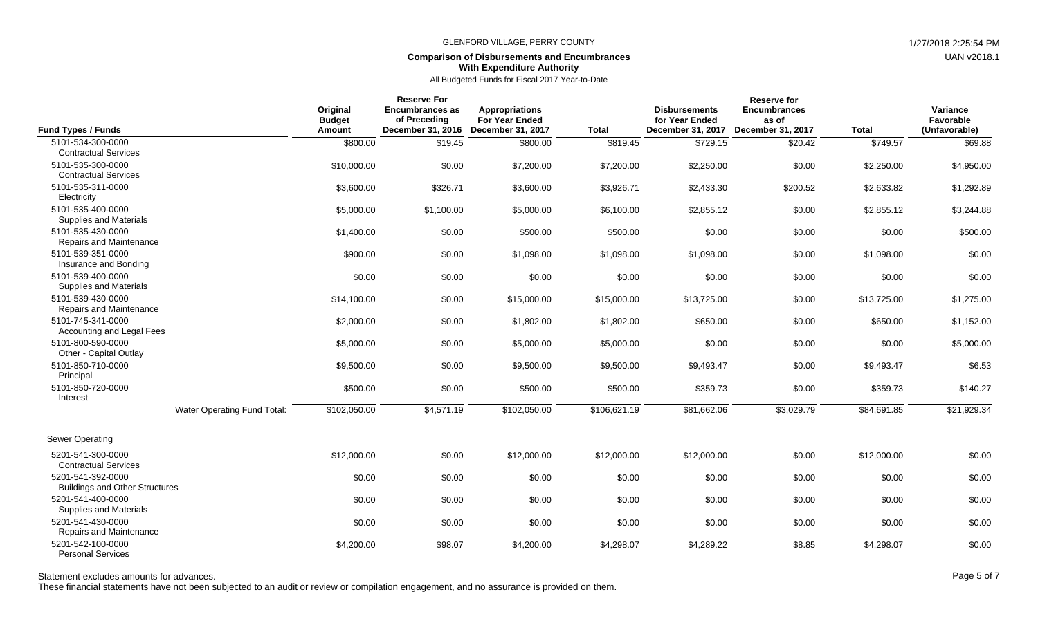### **Comparison of Disbursements and Encumbrances With Expenditure Authority**

All Budgeted Funds for Fiscal 2017 Year-to-Date

|                                                            | Original<br><b>Budget</b> | <b>Reserve For</b><br><b>Encumbrances as</b><br>of Preceding | Appropriations<br><b>For Year Ended</b> |              | <b>Disbursements</b><br>for Year Ended | <b>Reserve for</b><br><b>Encumbrances</b><br>as of |              | Variance<br>Favorable |
|------------------------------------------------------------|---------------------------|--------------------------------------------------------------|-----------------------------------------|--------------|----------------------------------------|----------------------------------------------------|--------------|-----------------------|
| <b>Fund Types / Funds</b>                                  | Amount                    |                                                              | December 31, 2016 December 31, 2017     | <b>Total</b> | December 31, 2017                      | December 31, 2017                                  | <b>Total</b> | (Unfavorable)         |
| 5101-534-300-0000                                          | \$800.00                  | \$19.45                                                      | \$800.00                                | \$819.45     | \$729.15                               | \$20.42                                            | \$749.57     | \$69.88               |
| <b>Contractual Services</b>                                |                           |                                                              |                                         |              |                                        |                                                    |              |                       |
| 5101-535-300-0000<br><b>Contractual Services</b>           | \$10,000.00               | \$0.00                                                       | \$7,200.00                              | \$7,200.00   | \$2,250.00                             | \$0.00                                             | \$2,250.00   | \$4,950.00            |
| 5101-535-311-0000<br>Electricity                           | \$3,600.00                | \$326.71                                                     | \$3,600.00                              | \$3,926.71   | \$2,433.30                             | \$200.52                                           | \$2,633.82   | \$1,292.89            |
| 5101-535-400-0000<br>Supplies and Materials                | \$5,000.00                | \$1,100.00                                                   | \$5,000.00                              | \$6,100.00   | \$2,855.12                             | \$0.00                                             | \$2,855.12   | \$3,244.88            |
| 5101-535-430-0000<br>Repairs and Maintenance               | \$1,400.00                | \$0.00                                                       | \$500.00                                | \$500.00     | \$0.00                                 | \$0.00                                             | \$0.00       | \$500.00              |
| 5101-539-351-0000<br>Insurance and Bonding                 | \$900.00                  | \$0.00                                                       | \$1,098.00                              | \$1,098.00   | \$1,098.00                             | \$0.00                                             | \$1,098.00   | \$0.00                |
| 5101-539-400-0000<br><b>Supplies and Materials</b>         | \$0.00                    | \$0.00                                                       | \$0.00                                  | \$0.00       | \$0.00                                 | \$0.00                                             | \$0.00       | \$0.00                |
| 5101-539-430-0000<br>Repairs and Maintenance               | \$14,100.00               | \$0.00                                                       | \$15,000.00                             | \$15,000.00  | \$13,725.00                            | \$0.00                                             | \$13,725.00  | \$1,275.00            |
| 5101-745-341-0000<br>Accounting and Legal Fees             | \$2,000.00                | \$0.00                                                       | \$1,802.00                              | \$1,802.00   | \$650.00                               | \$0.00                                             | \$650.00     | \$1,152.00            |
| 5101-800-590-0000<br>Other - Capital Outlay                | \$5,000.00                | \$0.00                                                       | \$5,000.00                              | \$5,000.00   | \$0.00                                 | \$0.00                                             | \$0.00       | \$5,000.00            |
| 5101-850-710-0000<br>Principal                             | \$9,500.00                | \$0.00                                                       | \$9,500.00                              | \$9,500.00   | \$9,493.47                             | \$0.00                                             | \$9,493.47   | \$6.53                |
| 5101-850-720-0000<br>Interest                              | \$500.00                  | \$0.00                                                       | \$500.00                                | \$500.00     | \$359.73                               | \$0.00                                             | \$359.73     | \$140.27              |
| Water Operating Fund Total:                                | \$102,050.00              | \$4,571.19                                                   | \$102,050.00                            | \$106,621.19 | \$81,662.06                            | \$3,029.79                                         | \$84,691.85  | \$21,929.34           |
| Sewer Operating                                            |                           |                                                              |                                         |              |                                        |                                                    |              |                       |
| 5201-541-300-0000<br><b>Contractual Services</b>           | \$12,000.00               | \$0.00                                                       | \$12,000.00                             | \$12,000.00  | \$12,000.00                            | \$0.00                                             | \$12,000.00  | \$0.00                |
| 5201-541-392-0000<br><b>Buildings and Other Structures</b> | \$0.00                    | \$0.00                                                       | \$0.00                                  | \$0.00       | \$0.00                                 | \$0.00                                             | \$0.00       | \$0.00                |
| 5201-541-400-0000<br><b>Supplies and Materials</b>         | \$0.00                    | \$0.00                                                       | \$0.00                                  | \$0.00       | \$0.00                                 | \$0.00                                             | \$0.00       | \$0.00                |
| 5201-541-430-0000<br>Repairs and Maintenance               | \$0.00                    | \$0.00                                                       | \$0.00                                  | \$0.00       | \$0.00                                 | \$0.00                                             | \$0.00       | \$0.00                |
| 5201-542-100-0000<br><b>Personal Services</b>              | \$4,200.00                | \$98.07                                                      | \$4,200.00                              | \$4,298.07   | \$4,289.22                             | \$8.85                                             | \$4,298.07   | \$0.00                |

Statement excludes amounts for advances. The state of the state of the state of the state of the state of the state of the state of the state of the Page 5 of 7

These financial statements have not been subjected to an audit or review or compilation engagement, and no assurance is provided on them.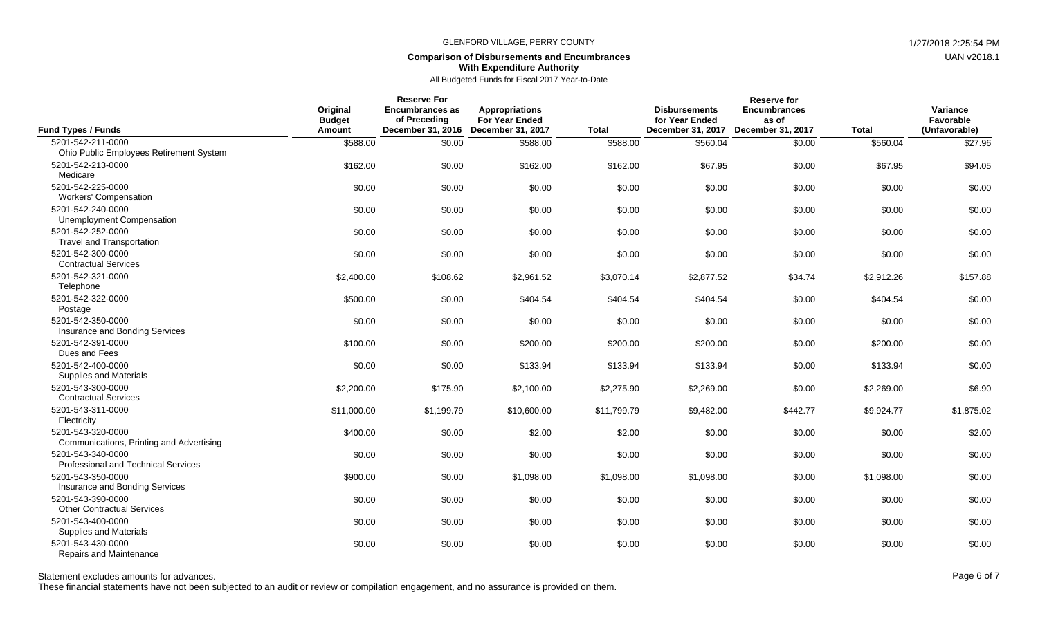### **Comparison of Disbursements and Encumbrances With Expenditure Authority**

## All Budgeted Funds for Fiscal 2017 Year-to-Date

| <b>Fund Types / Funds</b>                                     | Original<br><b>Budget</b><br>Amount | <b>Reserve For</b><br><b>Encumbrances as</b><br>of Preceding | Appropriations<br><b>For Year Ended</b><br>December 31, 2016 December 31, 2017 | <b>Total</b> | <b>Disbursements</b><br>for Year Ended<br>December 31, 2017 December 31, 2017 | <b>Reserve for</b><br><b>Encumbrances</b><br>as of | <b>Total</b> | Variance<br>Favorable<br>(Unfavorable) |
|---------------------------------------------------------------|-------------------------------------|--------------------------------------------------------------|--------------------------------------------------------------------------------|--------------|-------------------------------------------------------------------------------|----------------------------------------------------|--------------|----------------------------------------|
| 5201-542-211-0000                                             | \$588.00                            | \$0.00                                                       | \$588.00                                                                       | \$588.00     | \$560.04                                                                      | \$0.00                                             | \$560.04     | \$27.96                                |
| Ohio Public Employees Retirement System                       |                                     |                                                              |                                                                                |              |                                                                               |                                                    |              |                                        |
| 5201-542-213-0000<br>Medicare                                 | \$162.00                            | \$0.00                                                       | \$162.00                                                                       | \$162.00     | \$67.95                                                                       | \$0.00                                             | \$67.95      | \$94.05                                |
| 5201-542-225-0000<br><b>Workers' Compensation</b>             | \$0.00                              | \$0.00                                                       | \$0.00                                                                         | \$0.00       | \$0.00                                                                        | \$0.00                                             | \$0.00       | \$0.00                                 |
| 5201-542-240-0000<br>Unemployment Compensation                | \$0.00                              | \$0.00                                                       | \$0.00                                                                         | \$0.00       | \$0.00                                                                        | \$0.00                                             | \$0.00       | \$0.00                                 |
| 5201-542-252-0000<br><b>Travel and Transportation</b>         | \$0.00                              | \$0.00                                                       | \$0.00                                                                         | \$0.00       | \$0.00                                                                        | \$0.00                                             | \$0.00       | \$0.00                                 |
| 5201-542-300-0000<br><b>Contractual Services</b>              | \$0.00                              | \$0.00                                                       | \$0.00                                                                         | \$0.00       | \$0.00                                                                        | \$0.00                                             | \$0.00       | \$0.00                                 |
| 5201-542-321-0000<br>Telephone                                | \$2,400.00                          | \$108.62                                                     | \$2,961.52                                                                     | \$3,070.14   | \$2,877.52                                                                    | \$34.74                                            | \$2,912.26   | \$157.88                               |
| 5201-542-322-0000<br>Postage                                  | \$500.00                            | \$0.00                                                       | \$404.54                                                                       | \$404.54     | \$404.54                                                                      | \$0.00                                             | \$404.54     | \$0.00                                 |
| 5201-542-350-0000<br>Insurance and Bonding Services           | \$0.00                              | \$0.00                                                       | \$0.00                                                                         | \$0.00       | \$0.00                                                                        | \$0.00                                             | \$0.00       | \$0.00                                 |
| 5201-542-391-0000<br>Dues and Fees                            | \$100.00                            | \$0.00                                                       | \$200.00                                                                       | \$200.00     | \$200.00                                                                      | \$0.00                                             | \$200.00     | \$0.00                                 |
| 5201-542-400-0000<br>Supplies and Materials                   | \$0.00                              | \$0.00                                                       | \$133.94                                                                       | \$133.94     | \$133.94                                                                      | \$0.00                                             | \$133.94     | \$0.00                                 |
| 5201-543-300-0000<br><b>Contractual Services</b>              | \$2,200.00                          | \$175.90                                                     | \$2,100.00                                                                     | \$2,275.90   | \$2,269.00                                                                    | \$0.00                                             | \$2,269.00   | \$6.90                                 |
| 5201-543-311-0000<br>Electricity                              | \$11,000.00                         | \$1,199.79                                                   | \$10,600.00                                                                    | \$11,799.79  | \$9,482.00                                                                    | \$442.77                                           | \$9,924.77   | \$1,875.02                             |
| 5201-543-320-0000<br>Communications, Printing and Advertising | \$400.00                            | \$0.00                                                       | \$2.00                                                                         | \$2.00       | \$0.00                                                                        | \$0.00                                             | \$0.00       | \$2.00                                 |
| 5201-543-340-0000<br>Professional and Technical Services      | \$0.00                              | \$0.00                                                       | \$0.00                                                                         | \$0.00       | \$0.00                                                                        | \$0.00                                             | \$0.00       | \$0.00                                 |
| 5201-543-350-0000<br>Insurance and Bonding Services           | \$900.00                            | \$0.00                                                       | \$1,098.00                                                                     | \$1,098.00   | \$1,098.00                                                                    | \$0.00                                             | \$1,098.00   | \$0.00                                 |
| 5201-543-390-0000<br><b>Other Contractual Services</b>        | \$0.00                              | \$0.00                                                       | \$0.00                                                                         | \$0.00       | \$0.00                                                                        | \$0.00                                             | \$0.00       | \$0.00                                 |
| 5201-543-400-0000<br>Supplies and Materials                   | \$0.00                              | \$0.00                                                       | \$0.00                                                                         | \$0.00       | \$0.00                                                                        | \$0.00                                             | \$0.00       | \$0.00                                 |
| 5201-543-430-0000<br>Repairs and Maintenance                  | \$0.00                              | \$0.00                                                       | \$0.00                                                                         | \$0.00       | \$0.00                                                                        | \$0.00                                             | \$0.00       | \$0.00                                 |

Statement excludes amounts for advances. The state of the state of the state of the state of the state of the state of the state of the Page 6 of 7

These financial statements have not been subjected to an audit or review or compilation engagement, and no assurance is provided on them.